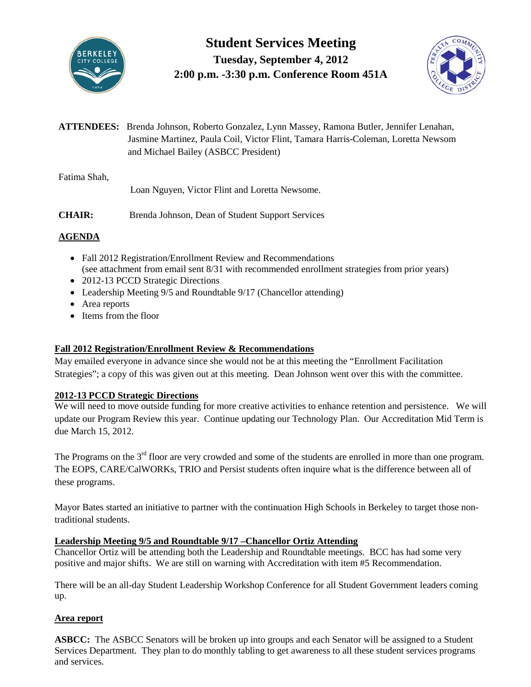

**Student Services Meeting Tuesday, September 4, 2012 2:00 p.m. -3:30 p.m. Conference Room 451A**



**ATTENDEES:** Brenda Johnson, Roberto Gonzalez, Lynn Massey, Ramona Butler, Jennifer Lenahan, Jasmine Martinez, Paula Coil, Victor Flint, Tamara Harris-Coleman, Loretta Newsom and Michael Bailey (ASBCC President)

Fatima Shah,

Loan Nguyen, Victor Flint and Loretta Newsome.

**CHAIR:** Brenda Johnson, Dean of Student Support Services

# **AGENDA**

- Fall 2012 Registration/Enrollment Review and Recommendations (see attachment from email sent 8/31 with recommended enrollment strategies from prior years)
- 2012-13 PCCD Strategic Directions
- Leadership Meeting 9/5 and Roundtable 9/17 (Chancellor attending)
- Area reports
- Items from the floor

## **Fall 2012 Registration/Enrollment Review & Recommendations**

May emailed everyone in advance since she would not be at this meeting the "Enrollment Facilitation Strategies"; a copy of this was given out at this meeting. Dean Johnson went over this with the committee.

### **2012-13 PCCD Strategic Directions**

We will need to move outside funding for more creative activities to enhance retention and persistence. We will update our Program Review this year. Continue updating our Technology Plan. Our Accreditation Mid Term is due March 15, 2012.

The Programs on the  $3<sup>rd</sup>$  floor are very crowded and some of the students are enrolled in more than one program. The EOPS, CARE/CalWORKs, TRIO and Persist students often inquire what is the difference between all of these programs.

Mayor Bates started an initiative to partner with the continuation High Schools in Berkeley to target those nontraditional students.

### **Leadership Meeting 9/5 and Roundtable 9/17 –Chancellor Ortiz Attending**

Chancellor Ortiz will be attending both the Leadership and Roundtable meetings. BCC has had some very positive and major shifts. We are still on warning with Accreditation with item #5 Recommendation.

There will be an all-day Student Leadership Workshop Conference for all Student Government leaders coming up.

### **Area report**

**ASBCC:** The ASBCC Senators will be broken up into groups and each Senator will be assigned to a Student Services Department. They plan to do monthly tabling to get awareness to all these student services programs and services.